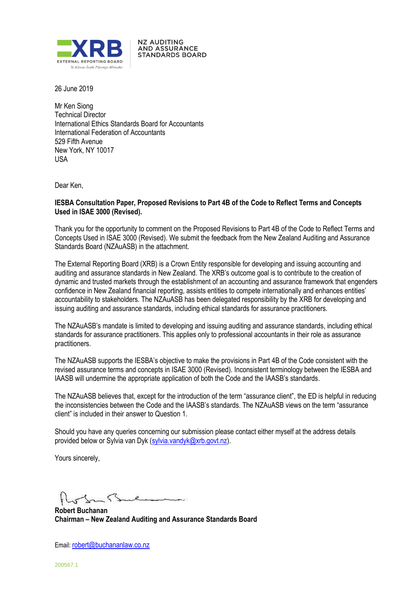

**NZ AUDITING AND ASSURANCE STANDARDS BOARD** 

26 June 2019

Mr Ken Siong Technical Director International Ethics Standards Board for Accountants International Federation of Accountants 529 Fifth Avenue New York, NY 10017 USA

Dear Ken,

#### **IESBA Consultation Paper, Proposed Revisions to Part 4B of the Code to Reflect Terms and Concepts Used in ISAE 3000 (Revised).**

Thank you for the opportunity to comment on the Proposed Revisions to Part 4B of the Code to Reflect Terms and Concepts Used in ISAE 3000 (Revised). We submit the feedback from the New Zealand Auditing and Assurance Standards Board (NZAuASB) in the attachment.

The External Reporting Board (XRB) is a Crown Entity responsible for developing and issuing accounting and auditing and assurance standards in New Zealand. The XRB's outcome goal is to contribute to the creation of dynamic and trusted markets through the establishment of an accounting and assurance framework that engenders confidence in New Zealand financial reporting, assists entities to compete internationally and enhances entities' accountability to stakeholders. The NZAuASB has been delegated responsibility by the XRB for developing and issuing auditing and assurance standards, including ethical standards for assurance practitioners.

The NZAuASB's mandate is limited to developing and issuing auditing and assurance standards, including ethical standards for assurance practitioners. This applies only to professional accountants in their role as assurance practitioners.

The NZAuASB supports the IESBA's objective to make the provisions in Part 4B of the Code consistent with the revised assurance terms and concepts in ISAE 3000 (Revised). Inconsistent terminology between the IESBA and IAASB will undermine the appropriate application of both the Code and the IAASB's standards.

The NZAuASB believes that, except for the introduction of the term "assurance client", the ED is helpful in reducing the inconsistencies between the Code and the IAASB's standards. The NZAuASB views on the term "assurance client" is included in their answer to Question 1.

Should you have any queries concerning our submission please contact either myself at the address details provided below or Sylvia van Dyk (sylvia.vandyk@xrb.govt.nz).

Yours sincerely,

- 5 o

**Robert Buchanan Chairman – New Zealand Auditing and Assurance Standards Board**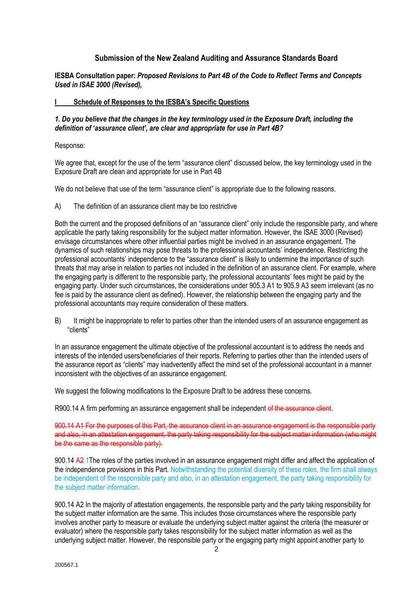# **Submission of the New Zealand Auditing and Assurance Standards Board**

**IESBA Consultation paper:** *Proposed Revisions to Part 4B of the Code to Reflect Terms and Concepts Used in ISAE 3000 (Revised),*

#### **I Schedule of Responses to the IESBA's Specific Questions**

#### *1. Do you believe that the changes in the key terminology used in the Exposure Draft, including the definition of 'assurance client', are clear and appropriate for use in Part 4B?*

Response:

We agree that, except for the use of the term "assurance client" discussed below, the key terminology used in the Exposure Draft are clean and appropriate for use in Part 4B

We do not believe that use of the term "assurance client" is appropriate due to the following reasons.

A) The definition of an assurance client may be too restrictive

Both the current and the proposed definitions of an "assurance client" only include the responsible party, and where applicable the party taking responsibility for the subject matter information. However, the ISAE 3000 (Revised) envisage circumstances where other influential parties might be involved in an assurance engagement. The dynamics of such relationships may pose threats to the professional accountants' independence. Restricting the professional accountants' independence to the "assurance client" is likely to undermine the importance of such threats that may arise in relation to parties not included in the definition of an assurance client. For example, where the engaging party is different to the responsible party, the professional accountants' fees might be paid by the engaging party. Under such circumstances, the considerations under 905.3 A1 to 905.9 A3 seem irrelevant (as no fee is paid by the assurance client as defined). However, the relationship between the engaging party and the professional accountants may require consideration of these matters.

B) It might be inappropriate to refer to parties other than the intended users of an assurance engagement as "clients"

In an assurance engagement the ultimate objective of the professional accountant is to address the needs and interests of the intended users/beneficiaries of their reports. Referring to parties other than the intended users of the assurance report as "clients" may inadvertently affect the mind set of the professional accountant in a manner inconsistent with the objectives of an assurance engagement.

We suggest the following modifications to the Exposure Draft to be address these concerns.

R900.14 A firm performing an assurance engagement shall be independent of the assurance client.

900.14 A1 For the purposes of this Part, the assurance client in an assurance engagement is the responsible party and also, in an attestation engagement, the party taking responsibility for the subject matter information (who might be the same as the responsible party).

900.14 A2 1 The roles of the parties involved in an assurance engagement might differ and affect the application of the independence provisions in this Part. Notwithstanding the potential diversity of these roles, the firm shall always be independent of the responsible party and also, in an attestation engagement, the party taking responsibility for the subject matter information.

900.14 A2 In the majority of attestation engagements, the responsible party and the party taking responsibility for the subject matter information are the same. This includes those circumstances where the responsible party involves another party to measure or evaluate the underlying subject matter against the criteria (the measurer or evaluator) where the responsible party takes responsibility for the subject matter information as well as the underlying subject matter. However, the responsible party or the engaging party might appoint another party to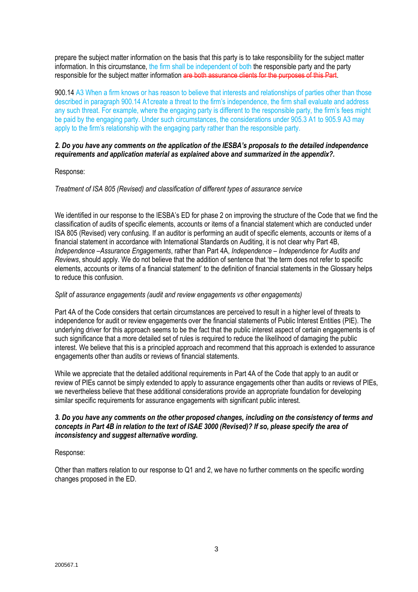prepare the subject matter information on the basis that this party is to take responsibility for the subject matter information. In this circumstance, the firm shall be independent of both the responsible party and the party responsible for the subject matter information are both assurance clients for the purposes of this Part.

900.14 A3 When a firm knows or has reason to believe that interests and relationships of parties other than those described in paragraph 900.14 A1create a threat to the firm's independence, the firm shall evaluate and address any such threat. For example, where the engaging party is different to the responsible party, the firm's fees might be paid by the engaging party. Under such circumstances, the considerations under 905.3 A1 to 905.9 A3 may apply to the firm's relationship with the engaging party rather than the responsible party.

### *2. Do you have any comments on the application of the IESBA's proposals to the detailed independence requirements and application material as explained above and summarized in the appendix?.*

### Response:

### *Treatment of ISA 805 (Revised) and classification of different types of assurance service*

We identified in our response to the IESBA's ED for phase 2 on improving the structure of the Code that we find the classification of audits of specific elements, accounts or items of a financial statement which are conducted under ISA 805 (Revised) very confusing. If an auditor is performing an audit of specific elements, accounts or items of a financial statement in accordance with International Standards on Auditing, it is not clear why Part 4B, *Independence –Assurance Engagements*, rather than Part 4A, *Independence – Independence for Audits and Reviews*, should apply. We do not believe that the addition of sentence that 'the term does not refer to specific elements, accounts or items of a financial statement' to the definition of financial statements in the Glossary helps to reduce this confusion.

#### *Split of assurance engagements (audit and review engagements vs other engagements)*

Part 4A of the Code considers that certain circumstances are perceived to result in a higher level of threats to independence for audit or review engagements over the financial statements of Public Interest Entities (PIE). The underlying driver for this approach seems to be the fact that the public interest aspect of certain engagements is of such significance that a more detailed set of rules is required to reduce the likelihood of damaging the public interest. We believe that this is a principled approach and recommend that this approach is extended to assurance engagements other than audits or reviews of financial statements.

While we appreciate that the detailed additional requirements in Part 4A of the Code that apply to an audit or review of PIEs cannot be simply extended to apply to assurance engagements other than audits or reviews of PIEs. we nevertheless believe that these additional considerations provide an appropriate foundation for developing similar specific requirements for assurance engagements with significant public interest.

### *3. Do you have any comments on the other proposed changes, including on the consistency of terms and concepts in Part 4B in relation to the text of ISAE 3000 (Revised)? If so, please specify the area of inconsistency and suggest alternative wording.*

# Response:

Other than matters relation to our response to Q1 and 2, we have no further comments on the specific wording changes proposed in the ED.